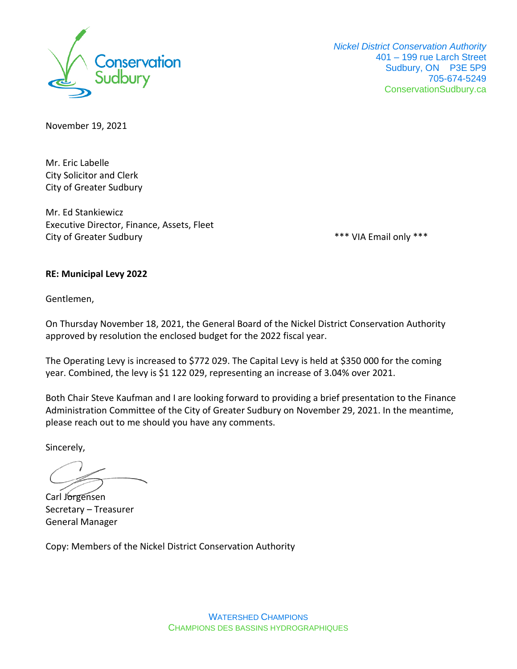

 *Nickel District Conservation Authority* 401 – 199 rue Larch Street Sudbury, ON P3E 5P9 705-674-5249 ConservationSudbury.ca

November 19, 2021

Mr. Eric Labelle City Solicitor and Clerk City of Greater Sudbury

Mr. Ed Stankiewicz Executive Director, Finance, Assets, Fleet City of Greater Sudbury **Example 20** and  $**$  VIA Email only  $**$ 

## **RE: Municipal Levy 2022**

Gentlemen,

On Thursday November 18, 2021, the General Board of the Nickel District Conservation Authority approved by resolution the enclosed budget for the 2022 fiscal year.

The Operating Levy is increased to \$772 029. The Capital Levy is held at \$350 000 for the coming year. Combined, the levy is \$1 122 029, representing an increase of 3.04% over 2021.

Both Chair Steve Kaufman and I are looking forward to providing a brief presentation to the Finance Administration Committee of the City of Greater Sudbury on November 29, 2021. In the meantime, please reach out to me should you have any comments.

Sincerely,

Carl Jorgensen Secretary – Treasurer General Manager

Copy: Members of the Nickel District Conservation Authority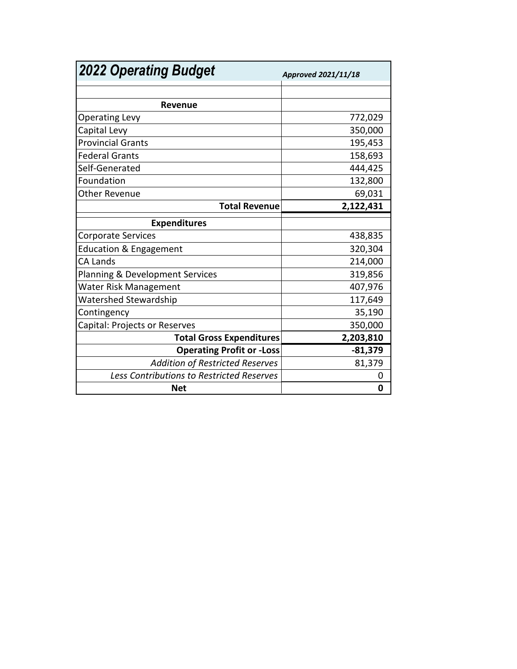| <b>2022 Operating Budget</b>                     | Approved 2021/11/18 |
|--------------------------------------------------|---------------------|
|                                                  |                     |
| Revenue                                          |                     |
| <b>Operating Levy</b>                            | 772,029             |
| Capital Levy                                     | 350,000             |
| <b>Provincial Grants</b>                         | 195,453             |
| <b>Federal Grants</b>                            | 158,693             |
| Self-Generated                                   | 444,425             |
| Foundation                                       | 132,800             |
| Other Revenue                                    | 69,031              |
| <b>Total Revenue</b>                             | 2,122,431           |
| <b>Expenditures</b>                              |                     |
| <b>Corporate Services</b>                        | 438,835             |
| <b>Education &amp; Engagement</b>                | 320,304             |
| <b>CA Lands</b>                                  | 214,000             |
| Planning & Development Services                  | 319,856             |
| Water Risk Management                            | 407,976             |
| Watershed Stewardship                            | 117,649             |
| Contingency                                      | 35,190              |
| Capital: Projects or Reserves                    | 350,000             |
| <b>Total Gross Expenditures</b>                  | 2,203,810           |
| <b>Operating Profit or -Loss</b>                 | $-81,379$           |
| <b>Addition of Restricted Reserves</b>           | 81,379              |
| <b>Less Contributions to Restricted Reserves</b> | 0                   |
| <b>Net</b>                                       | 0                   |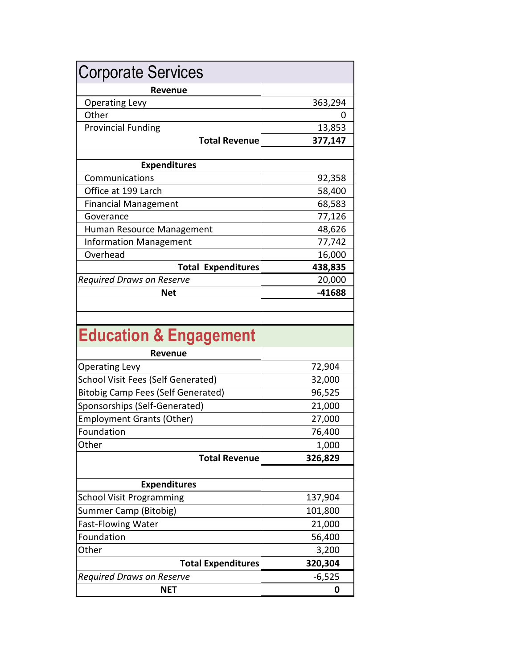| <b>Corporate Services</b>                 |          |
|-------------------------------------------|----------|
| Revenue                                   |          |
| <b>Operating Levy</b>                     | 363,294  |
| Other                                     |          |
| <b>Provincial Funding</b>                 | 13,853   |
| <b>Total Revenue</b>                      | 377,147  |
|                                           |          |
| <b>Expenditures</b>                       |          |
| Communications                            | 92,358   |
| Office at 199 Larch                       | 58,400   |
| <b>Financial Management</b>               | 68,583   |
| Goverance                                 | 77,126   |
| Human Resource Management                 | 48,626   |
| <b>Information Management</b>             | 77,742   |
| Overhead                                  | 16,000   |
| <b>Total Expenditures</b>                 | 438,835  |
| <b>Required Draws on Reserve</b>          | 20,000   |
| <b>Net</b>                                | -41688   |
|                                           |          |
|                                           |          |
| <b>Education &amp; Engagement</b>         |          |
| <b>Revenue</b>                            |          |
| <b>Operating Levy</b>                     | 72,904   |
| School Visit Fees (Self Generated)        | 32,000   |
| <b>Bitobig Camp Fees (Self Generated)</b> | 96,525   |
| Sponsorships (Self-Generated)             | 21,000   |
| <b>Employment Grants (Other)</b>          | 27,000   |
| Foundation                                | 76,400   |
| Other                                     | 1,000    |
| <b>Total Revenue</b>                      | 326,829  |
|                                           |          |
| <b>Expenditures</b>                       |          |
| <b>School Visit Programming</b>           | 137,904  |
| Summer Camp (Bitobig)                     | 101,800  |
| <b>Fast-Flowing Water</b>                 | 21,000   |
| Foundation                                | 56,400   |
| Other                                     | 3,200    |
| <b>Total Expenditures</b>                 | 320,304  |
| <b>Required Draws on Reserve</b>          | $-6,525$ |
| <b>NET</b>                                | 0        |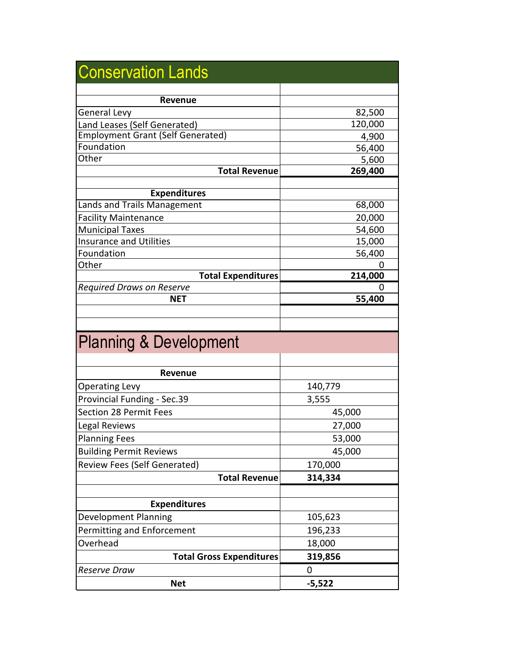| <b>Conservation Lands</b>                                                |                 |
|--------------------------------------------------------------------------|-----------------|
|                                                                          |                 |
| <b>Revenue</b>                                                           |                 |
| General Levy                                                             | 82,500          |
| Land Leases (Self Generated)<br><b>Employment Grant (Self Generated)</b> | 120,000         |
| Foundation                                                               | 4,900           |
| Other                                                                    | 56,400<br>5,600 |
| <b>Total Revenue</b>                                                     | 269,400         |
|                                                                          |                 |
| <b>Expenditures</b>                                                      |                 |
| Lands and Trails Management                                              | 68,000          |
| <b>Facility Maintenance</b>                                              | 20,000          |
| <b>Municipal Taxes</b>                                                   | 54,600          |
| <b>Insurance and Utilities</b>                                           | 15,000          |
| Foundation                                                               | 56,400          |
| Other                                                                    | $\Omega$        |
| <b>Total Expenditures</b>                                                | 214,000         |
| <b>Required Draws on Reserve</b>                                         | $\Omega$        |
| NET                                                                      | 55,400          |
|                                                                          |                 |
| <b>Planning &amp; Development</b>                                        |                 |
| <b>Revenue</b>                                                           |                 |
| <b>Operating Levy</b>                                                    |                 |
|                                                                          | 140,779         |
| Provincial Funding - Sec.39<br>Section 28 Permit Fees                    | 3,555           |
|                                                                          | 45,000          |
| Legal Reviews                                                            | 27,000          |
| <b>Planning Fees</b>                                                     | 53,000          |
| <b>Building Permit Reviews</b>                                           | 45,000          |
| <b>Review Fees (Self Generated)</b>                                      | 170,000         |
| <b>Total Revenue</b>                                                     | 314,334         |
|                                                                          |                 |
| <b>Expenditures</b>                                                      |                 |
| <b>Development Planning</b>                                              | 105,623         |
| Permitting and Enforcement                                               | 196,233         |
| Overhead                                                                 | 18,000          |
| <b>Total Gross Expenditures</b>                                          | 319,856         |
| <b>Reserve Draw</b>                                                      | 0               |
| <b>Net</b>                                                               | $-5,522$        |